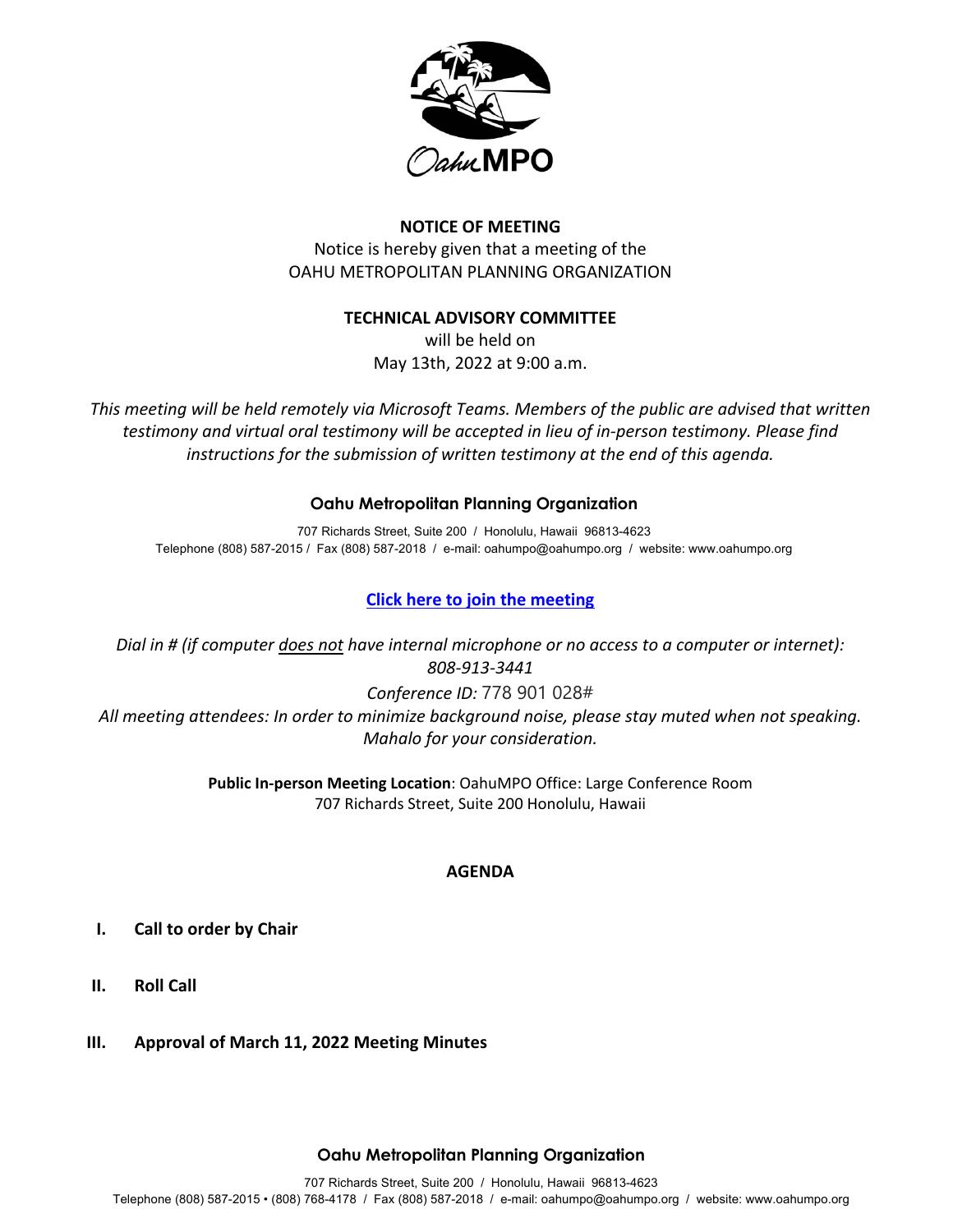

## **NOTICE OF MEETING**

Notice is hereby given that a meeting of the OAHU METROPOLITAN PLANNING ORGANIZATION

### **TECHNICAL ADVISORY COMMITTEE**

will be held on May 13th, 2022 at 9:00 a.m.

*This meeting will be held remotely via Microsoft Teams. Members of the public are advised that written testimony and virtual oral testimony will be accepted in lieu of in-person testimony. Please find instructions for the submission of written testimony at the end of this agenda.*

## **Oahu Metropolitan Planning Organization**

707 Richards Street, Suite 200 / Honolulu, Hawaii 96813-4623 Telephone (808) 587-2015 / Fax (808) 587-2018 / e-mail: oahumpo@oahumpo.org / website: www.oahumpo.org

# **Click here to join the meeting**

*Dial in # (if computer does not have internal microphone or no access to a computer or internet): 808-913-3441 Conference ID:* 778 901 028# *All meeting attendees: In order to minimize background noise, please stay muted when not speaking. Mahalo for your consideration.*

> **Public In-person Meeting Location**: OahuMPO Office: Large Conference Room 707 Richards Street, Suite 200 Honolulu, Hawaii

## **AGENDA**

- **I. Call to order by Chair**
- **II. Roll Call**
- **III. Approval of March 11, 2022 Meeting Minutes**

### **Oahu Metropolitan Planning Organization**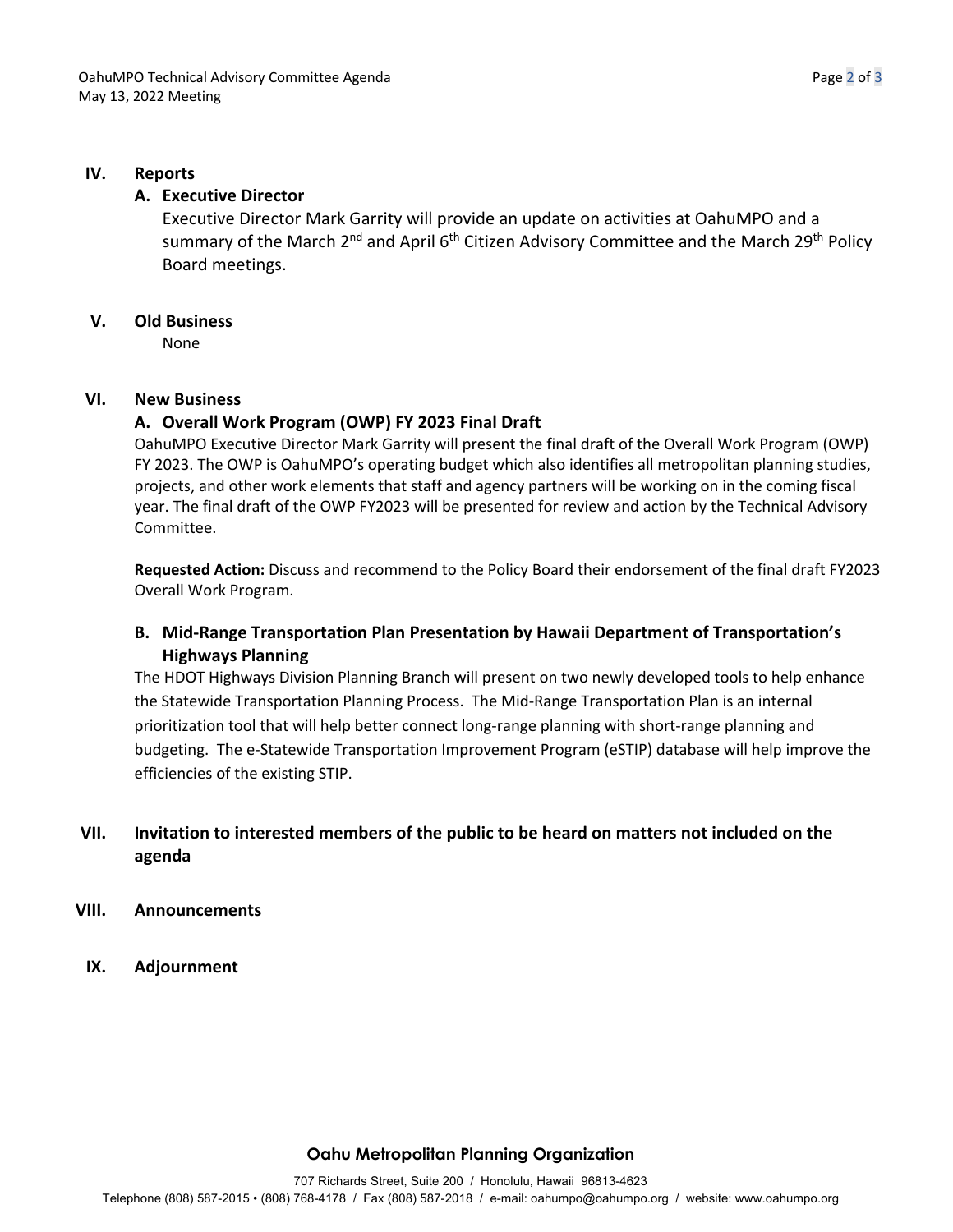#### **IV. Reports**

### **A. Executive Director**

Executive Director Mark Garrity will provide an update on activities at OahuMPO and a summary of the March  $2^{nd}$  and April 6<sup>th</sup> Citizen Advisory Committee and the March 29<sup>th</sup> Policy Board meetings.

#### **V. Old Business**

None

#### **VI. New Business**

### **A. Overall Work Program (OWP) FY 2023 Final Draft**

OahuMPO Executive Director Mark Garrity will present the final draft of the Overall Work Program (OWP) FY 2023. The OWP is OahuMPO's operating budget which also identifies all metropolitan planning studies, projects, and other work elements that staff and agency partners will be working on in the coming fiscal year. The final draft of the OWP FY2023 will be presented for review and action by the Technical Advisory Committee.

**Requested Action:** Discuss and recommend to the Policy Board their endorsement of the final draft FY2023 Overall Work Program.

## **B. Mid-Range Transportation Plan Presentation by Hawaii Department of Transportation's Highways Planning**

The HDOT Highways Division Planning Branch will present on two newly developed tools to help enhance the Statewide Transportation Planning Process. The Mid-Range Transportation Plan is an internal prioritization tool that will help better connect long-range planning with short-range planning and budgeting. The e-Statewide Transportation Improvement Program (eSTIP) database will help improve the efficiencies of the existing STIP.

# **VII. Invitation to interested members of the public to be heard on matters not included on the agenda**

- **VIII. Announcements**
- **IX. Adjournment**